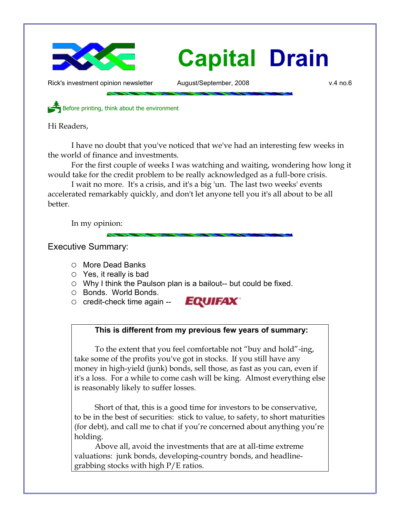

Rick's investment opinion newsletter  $\mu$  August/September, 2008  $\mu$  w.4 no.6

Before printing, think about the environment

Hi Readers,

I have no doubt that you've noticed that we've had an interesting few weeks in the world of finance and investments.

For the first couple of weeks I was watching and waiting, wondering how long it would take for the credit problem to be really acknowledged as a full-bore crisis.

I wait no more. It's a crisis, and it's a big 'un. The last two weeks' events accelerated remarkably quickly, and don't let anyone tell you it's all about to be all better.

In my opinion:

Executive Summary:

- More Dead Banks
- $\circ$  Yes, it really is bad
- Why I think the Paulson plan is a bailout-- but could be fixed.
- Bonds. World Bonds.
- $\circ$  credit-check time again --

# **EQUIFAX**

## **This is different from my previous few years of summary:**

To the extent that you feel comfortable not "buy and hold"-ing, take some of the profits you've got in stocks. If you still have any money in high-yield (junk) bonds, sell those, as fast as you can, even if it's a loss. For a while to come cash will be king. Almost everything else is reasonably likely to suffer losses.

Short of that, this is a good time for investors to be conservative, to be in the best of securities: stick to value, to safety, to short maturities (for debt), and call me to chat if you're concerned about anything you're holding.

Above all, avoid the investments that are at all-time extreme valuations: junk bonds, developing-country bonds, and headlinegrabbing stocks with high P/E ratios.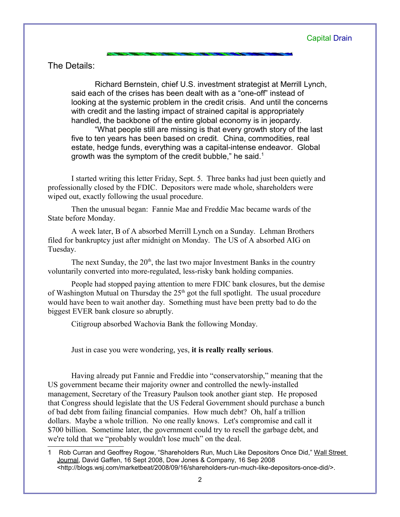The Details:

Richard Bernstein, chief U.S. investment strategist at Merrill Lynch, said each of the crises has been dealt with as a "one-off" instead of looking at the systemic problem in the credit crisis. And until the concerns with credit and the lasting impact of strained capital is appropriately handled, the backbone of the entire global economy is in jeopardy.

"What people still are missing is that every growth story of the last five to ten years has been based on credit. China, commodities, real estate, hedge funds, everything was a capital-intense endeavor. Global growth was the symptom of the credit bubble," he said. $1$ 

I started writing this letter Friday, Sept. 5. Three banks had just been quietly and professionally closed by the FDIC. Depositors were made whole, shareholders were wiped out, exactly following the usual procedure.

Then the unusual began: Fannie Mae and Freddie Mac became wards of the State before Monday.

A week later, B of A absorbed Merrill Lynch on a Sunday. Lehman Brothers filed for bankruptcy just after midnight on Monday. The US of A absorbed AIG on Tuesday.

The next Sunday, the  $20<sup>th</sup>$ , the last two major Investment Banks in the country voluntarily converted into more-regulated, less-risky bank holding companies.

People had stopped paying attention to mere FDIC bank closures, but the demise of Washington Mutual on Thursday the 25<sup>th</sup> got the full spotlight. The usual procedure would have been to wait another day. Something must have been pretty bad to do the biggest EVER bank closure so abruptly.

Citigroup absorbed Wachovia Bank the following Monday.

Just in case you were wondering, yes, **it is really really serious**.

Having already put Fannie and Freddie into "conservatorship," meaning that the US government became their majority owner and controlled the newly-installed management, Secretary of the Treasury Paulson took another giant step. He proposed that Congress should legislate that the US Federal Government should purchase a bunch of bad debt from failing financial companies. How much debt? Oh, half a trillion dollars. Maybe a whole trillion. No one really knows. Let's compromise and call it \$700 billion. Sometime later, the government could try to resell the garbage debt, and we're told that we "probably wouldn't lose much" on the deal.

<span id="page-1-0"></span><sup>1</sup> Rob Curran and Geoffrey Rogow, "Shareholders Run, Much Like Depositors Once Did," Wall Street Journal, David Gaffen, 16 Sept 2008, Dow Jones & Company, 16 Sep 2008 <http://blogs.wsj.com/marketbeat/2008/09/16/shareholders-run-much-like-depositors-once-did/>.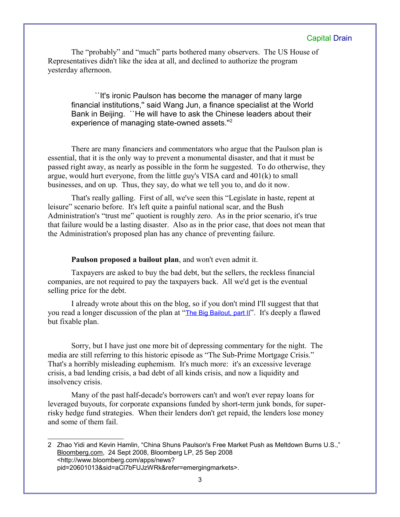The "probably" and "much" parts bothered many observers. The US House of Representatives didn't like the idea at all, and declined to authorize the program yesterday afternoon.

``It's ironic Paulson has become the manager of many large financial institutions,'' said Wang Jun, a finance specialist at the World Bank in Beijing. ``He will have to ask the Chinese leaders about their experience of managing state-owned assets."<sup>[2](#page-2-0)</sup>

There are many financiers and commentators who argue that the Paulson plan is essential, that it is the only way to prevent a monumental disaster, and that it must be passed right away, as nearly as possible in the form he suggested. To do otherwise, they argue, would hurt everyone, from the little guy's VISA card and 401(k) to small businesses, and on up. Thus, they say, do what we tell you to, and do it now.

That's really galling. First of all, we've seen this "Legislate in haste, repent at leisure" scenario before. It's left quite a painful national scar, and the Bush Administration's "trust me" quotient is roughly zero. As in the prior scenario, it's true that failure would be a lasting disaster. Also as in the prior case, that does not mean that the Administration's proposed plan has any chance of preventing failure.

#### **Paulson proposed a bailout plan**, and won't even admit it.

Taxpayers are asked to buy the bad debt, but the sellers, the reckless financial companies, are not required to pay the taxpayers back. All we'd get is the eventual selling price for the debt.

I already wrote about this on the blog, so if you don't mind I'll suggest that that you read a longer discussion of the plan at "[The Big Bailout, part II](http://018695b.netsolhost.com/ricksblog/2008-09-30/socially-responsible-investing/politics/the-big-bailout-part-ii/)". It's deeply a flawed but fixable plan.

Sorry, but I have just one more bit of depressing commentary for the night. The media are still referring to this historic episode as "The Sub-Prime Mortgage Crisis." That's a horribly misleading euphemism. It's much more: it's an excessive leverage crisis, a bad lending crisis, a bad debt of all kinds crisis, and now a liquidity and insolvency crisis.

Many of the past half-decade's borrowers can't and won't ever repay loans for leveraged buyouts, for corporate expansions funded by short-term junk bonds, for superrisky hedge fund strategies. When their lenders don't get repaid, the lenders lose money and some of them fail.

<span id="page-2-0"></span><sup>2</sup> Zhao Yidi and Kevin Hamlin, "China Shuns Paulson's Free Market Push as Meltdown Burns U.S.," Bloomberg.com, 24 Sept 2008, Bloomberg LP, 25 Sep 2008 <http://www.bloomberg.com/apps/news? pid=20601013&sid=aCl7bFUJzWRk&refer=emergingmarkets>.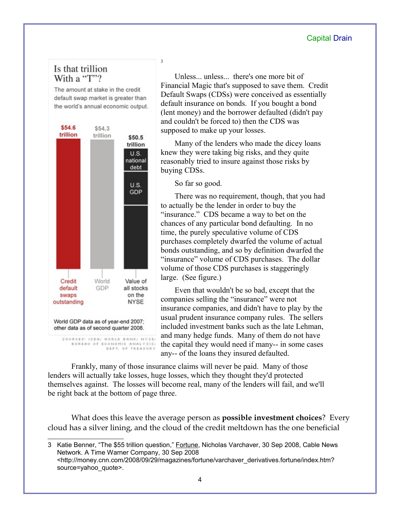# Is that trillion With a "T"?

The amount at stake in the credit default swap market is greater than the world's annual economic output.



[3](#page-3-0)

Unless... unless... there's one more bit of Financial Magic that's supposed to save them. Credit Default Swaps (CDSs) were conceived as essentially default insurance on bonds. If you bought a bond (lent money) and the borrower defaulted (didn't pay and couldn't be forced to) then the CDS was supposed to make up your losses.

Many of the lenders who made the dicey loans knew they were taking big risks, and they quite reasonably tried to insure against those risks by buying CDSs.

So far so good.

There was no requirement, though, that you had to actually be the lender in order to buy the "insurance." CDS became a way to bet on the chances of any particular bond defaulting. In no time, the purely speculative volume of CDS purchases completely dwarfed the volume of actual bonds outstanding, and so by definition dwarfed the "insurance" volume of CDS purchases. The dollar volume of those CDS purchases is staggeringly large. (See figure.)

Even that wouldn't be so bad, except that the companies selling the "insurance" were not insurance companies, and didn't have to play by the usual prudent insurance company rules. The sellers included investment banks such as the late Lehman, and many hedge funds. Many of them do not have the capital they would need if many-- in some cases any-- of the loans they insured defaulted.

Frankly, many of those insurance claims will never be paid. Many of those lenders will actually take losses, huge losses, which they thought they'd protected themselves against. The losses will become real, many of the lenders will fail, and we'll be right back at the bottom of page three.

What does this leave the average person as **possible investment choices**? Every cloud has a silver lining, and the cloud of the credit meltdown has the one beneficial

<span id="page-3-0"></span><sup>3</sup> Katie Benner, "The \$55 trillion question," Fortune, Nicholas Varchaver, 30 Sep 2008, Cable News Network. A Time Warner Company, 30 Sep 2008 <http://money.cnn.com/2008/09/29/magazines/fortune/varchaver\_derivatives.fortune/index.htm? source=yahoo\_quote>.